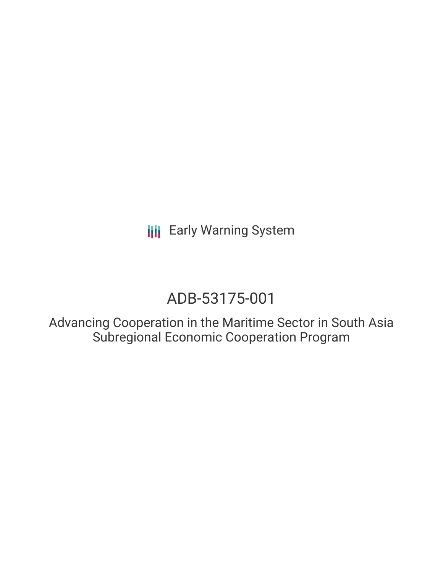**III** Early Warning System

# ADB-53175-001

Advancing Cooperation in the Maritime Sector in South Asia Subregional Economic Cooperation Program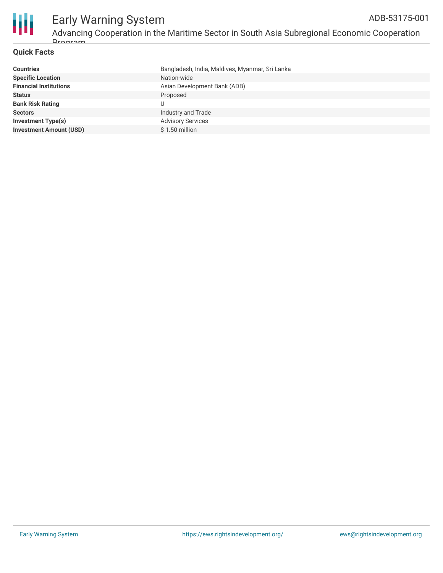

## **Quick Facts**

| Bangladesh, India, Maldives, Myanmar, Sri Lanka |
|-------------------------------------------------|
| Nation-wide                                     |
| Asian Development Bank (ADB)                    |
| Proposed                                        |
|                                                 |
| Industry and Trade                              |
| <b>Advisory Services</b>                        |
| $$1.50$ million                                 |
|                                                 |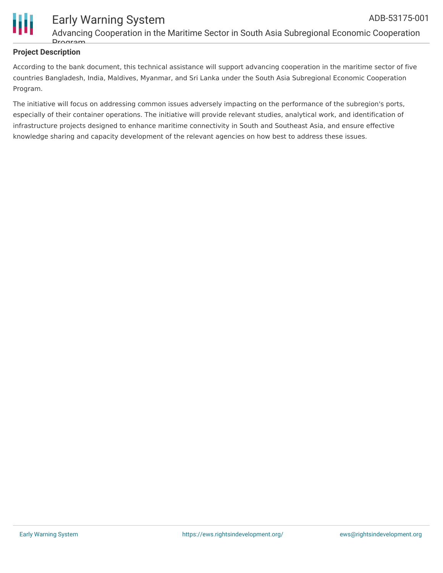

# **Project Description**

According to the bank document, this technical assistance will support advancing cooperation in the maritime sector of five countries Bangladesh, India, Maldives, Myanmar, and Sri Lanka under the South Asia Subregional Economic Cooperation Program.

The initiative will focus on addressing common issues adversely impacting on the performance of the subregion's ports, especially of their container operations. The initiative will provide relevant studies, analytical work, and identification of infrastructure projects designed to enhance maritime connectivity in South and Southeast Asia, and ensure effective knowledge sharing and capacity development of the relevant agencies on how best to address these issues.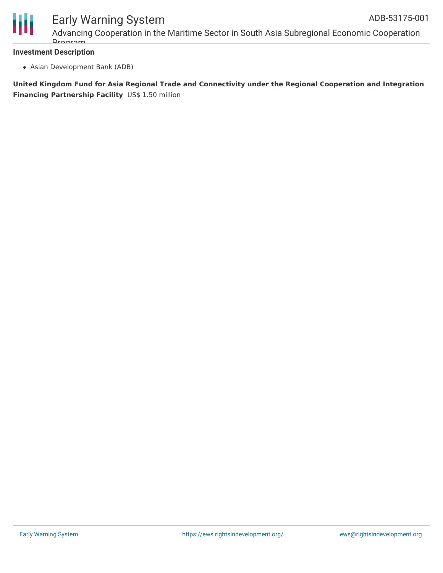

# Early Warning System

Advancing Cooperation in the Maritime Sector in South Asia Subregional Economic Cooperation Drogram

#### **Investment Description**

Asian Development Bank (ADB)

**United Kingdom Fund for Asia Regional Trade and Connectivity under the Regional Cooperation and Integration Financing Partnership Facility** US\$ 1.50 million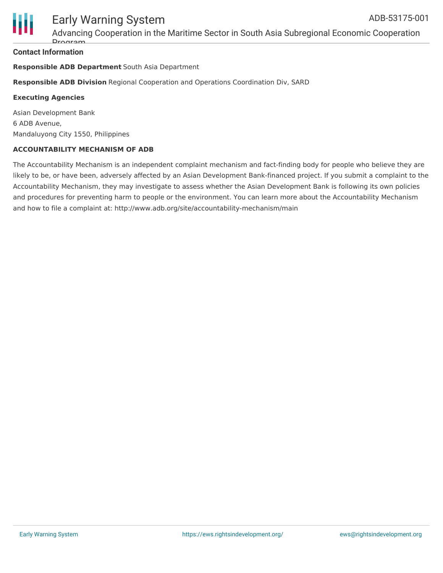

Advancing Cooperation in the Maritime Sector in South Asia Subregional Economic Cooperation Dro

### **Contact Information**

### **Responsible ADB Department** South Asia Department

**Responsible ADB Division** Regional Cooperation and Operations Coordination Div, SARD

#### **Executing Agencies**

Asian Development Bank 6 ADB Avenue, Mandaluyong City 1550, Philippines

#### **ACCOUNTABILITY MECHANISM OF ADB**

The Accountability Mechanism is an independent complaint mechanism and fact-finding body for people who believe they are likely to be, or have been, adversely affected by an Asian Development Bank-financed project. If you submit a complaint to the Accountability Mechanism, they may investigate to assess whether the Asian Development Bank is following its own policies and procedures for preventing harm to people or the environment. You can learn more about the Accountability Mechanism and how to file a complaint at: http://www.adb.org/site/accountability-mechanism/main